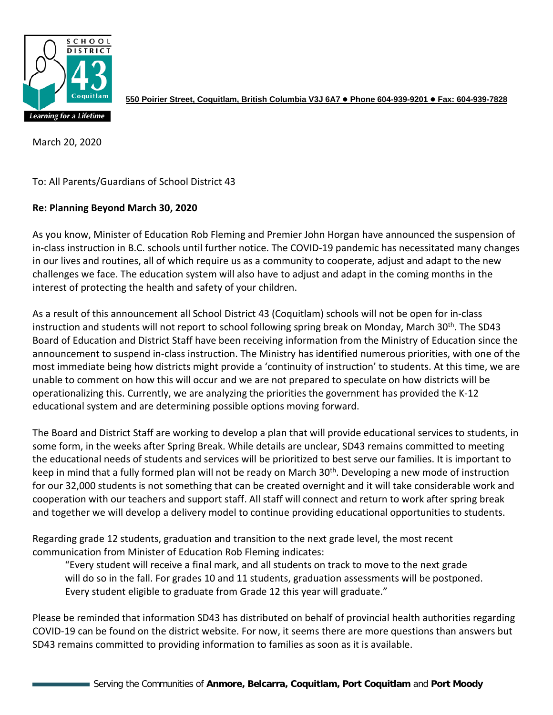

**550 Poirier Street, Coquitlam, British Columbia V3J 6A7 Phone 604-939-9201 Fax: 604-939-7828**

March 20, 2020

To: All Parents/Guardians of School District 43

## **Re: Planning Beyond March 30, 2020**

As you know, Minister of Education Rob Fleming and Premier John Horgan have announced the suspension of in-class instruction in B.C. schools until further notice. The COVID-19 pandemic has necessitated many changes in our lives and routines, all of which require us as a community to cooperate, adjust and adapt to the new challenges we face. The education system will also have to adjust and adapt in the coming months in the interest of protecting the health and safety of your children.

As a result of this announcement all School District 43 (Coquitlam) schools will not be open for in-class instruction and students will not report to school following spring break on Monday, March 30<sup>th</sup>. The SD43 Board of Education and District Staff have been receiving information from the Ministry of Education since the announcement to suspend in-class instruction. The Ministry has identified numerous priorities, with one of the most immediate being how districts might provide a 'continuity of instruction' to students. At this time, we are unable to comment on how this will occur and we are not prepared to speculate on how districts will be operationalizing this. Currently, we are analyzing the priorities the government has provided the K-12 educational system and are determining possible options moving forward.

The Board and District Staff are working to develop a plan that will provide educational services to students, in some form, in the weeks after Spring Break. While details are unclear, SD43 remains committed to meeting the educational needs of students and services will be prioritized to best serve our families. It is important to keep in mind that a fully formed plan will not be ready on March 30<sup>th</sup>. Developing a new mode of instruction for our 32,000 students is not something that can be created overnight and it will take considerable work and cooperation with our teachers and support staff. All staff will connect and return to work after spring break and together we will develop a delivery model to continue providing educational opportunities to students.

Regarding grade 12 students, graduation and transition to the next grade level, the most recent communication from Minister of Education Rob Fleming indicates:

"Every student will receive a final mark, and all students on track to move to the next grade will do so in the fall. For grades 10 and 11 students, graduation assessments will be postponed. Every student eligible to graduate from Grade 12 this year will graduate."

Please be reminded that information SD43 has distributed on behalf of provincial health authorities regarding COVID-19 can be found on the district website. For now, it seems there are more questions than answers but SD43 remains committed to providing information to families as soon as it is available.